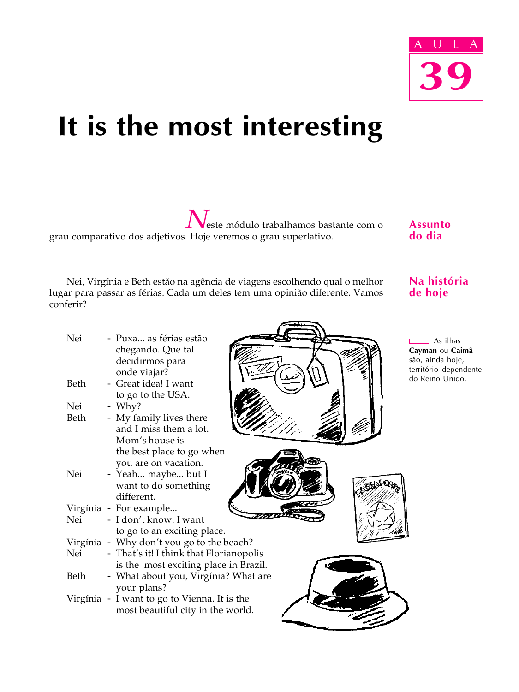

# It is the most interesting

Neste módulo trabalhamos bastante com o grau comparativo dos adjetivos. Hoje veremos o grau superlativo.

Nei, Virgínia e Beth estão na agência de viagens escolhendo qual o melhor lugar para passar as férias. Cada um deles tem uma opinião diferente. Vamos conferir?

Assunto do dia

# Na história de hoje

As ilhas **vman ou Caimã** o, ainda hoje, ritório dependente Reino Unido.

| Nei  | - Puxa as férias estão<br>chegando. Que tal<br>Ca<br>são<br>decidirmos para |
|------|-----------------------------------------------------------------------------|
|      | ter<br>onde viajar?<br>do                                                   |
| Beth | - Great idea! I want                                                        |
| Nei  | to go to the USA.<br>$-$ Why?                                               |
| Beth | - My family lives there                                                     |
|      | and I miss them a lot.                                                      |
|      | Mom's house is                                                              |
|      | the best place to go when                                                   |
|      | you are on vacation.                                                        |
| Nei  | - Yeah maybe but I                                                          |
|      | want to do something                                                        |
|      | different.                                                                  |
|      | Virgínia - For example                                                      |
| Nei  | - I don't know. I want                                                      |
|      | to go to an exciting place.<br>Virgínia - Why don't you go to the beach?    |
| Nei  | - That's it! I think that Florianopolis                                     |
|      | is the most exciting place in Brazil.                                       |
| Beth | - What about you, Virgínia? What are                                        |
|      | your plans?                                                                 |
|      | Virgínia - I want to go to Vienna. It is the                                |
|      | most beautiful city in the world.                                           |
|      |                                                                             |

 $\overline{\phantom{a}}$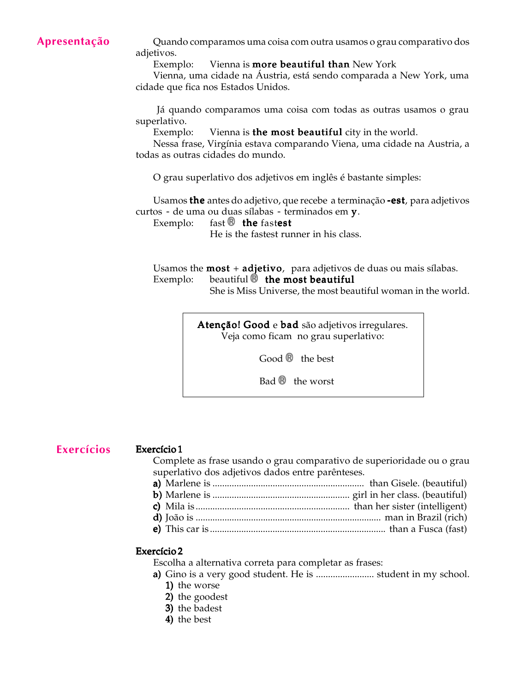# Apresentação

Quando comparamos uma coisa com outra usamos o grau comparativo dos adjetivos.

Exemplo: Vienna is **more beautiful than** New York

Vienna, uma cidade na Áustria, está sendo comparada a New York, uma cidade que fica nos Estados Unidos.

 Já quando comparamos uma coisa com todas as outras usamos o grau superlativo.

Exemplo: Vienna is the most beautiful city in the world.

Nessa frase, Virgínia estava comparando Viena, uma cidade na Austria, a todas as outras cidades do mundo.

O grau superlativo dos adjetivos em inglês é bastante simples:

Usamos the antes do adjetivo, que recebe a terminação -est, para adjetivos curtos - de uma ou duas sílabas - terminados em y.

Exemplo: fast  $\circledR$  the fastest

He is the fastest runner in his class.

Usamos the **most** + **adjetivo**, para adjetivos de duas ou mais sílabas. Exemplo: beautiful ® the most beautiful

She is Miss Universe, the most beautiful woman in the world.

Atenção! Good e bad são adjetivos irregulares. Veja como ficam no grau superlativo:

Good ® the best

Bad ® the worst

Exercícios

#### Exercício 1

Complete as frase usando o grau comparativo de superioridade ou o grau superlativo dos adjetivos dados entre parênteses.

a) Marlene is ............................................................... than Gisele. (beautiful) a) b) Marlene is ......................................................... girl in her class. (beautiful) b) c) Mila is ................................................................ than her sister (intelligent) c) d) João is ............................................................................. man in Brazil (rich) d) e) This car is ......................................................................... than a Fusca (fast) e)

#### Exercício 2

Escolha a alternativa correta para completar as frases:

- a) Gino is a very good student. He is ........................ student in my school. a) 1) the worse
	- 2) the goodest
	- 3) the badest
	- 4) the best
	-